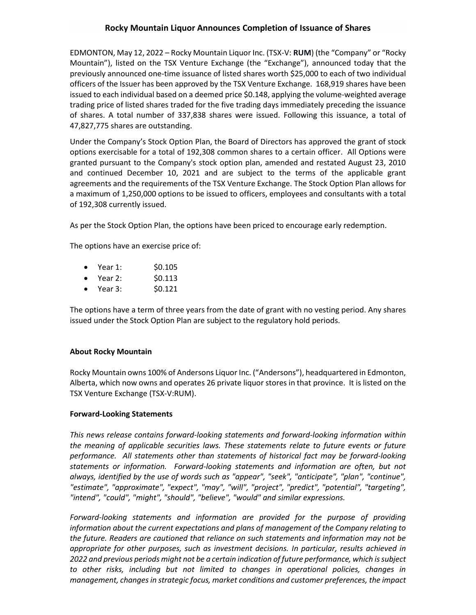EDMONTON, May 12, 2022 – Rocky Mountain Liquor Inc. (TSX-V: **RUM**) (the "Company" or "Rocky Mountain"), listed on the TSX Venture Exchange (the "Exchange"), announced today that the previously announced one-time issuance of listed shares worth \$25,000 to each of two individual officers of the Issuer has been approved by the TSX Venture Exchange. 168,919 shares have been issued to each individual based on a deemed price \$0.148, applying the volume-weighted average trading price of listed shares traded for the five trading days immediately preceding the issuance of shares. A total number of 337,838 shares were issued. Following this issuance, a total of 47,827,775 shares are outstanding.

Under the Company's Stock Option Plan, the Board of Directors has approved the grant of stock options exercisable for a total of 192,308 common shares to a certain officer. All Options were granted pursuant to the Company's stock option plan, amended and restated August 23, 2010 and continued December 10, 2021 and are subject to the terms of the applicable grant agreements and the requirements of the TSX Venture Exchange. The Stock Option Plan allows for a maximum of 1,250,000 options to be issued to officers, employees and consultants with a total of 192,308 currently issued.

As per the Stock Option Plan, the options have been priced to encourage early redemption.

The options have an exercise price of:

- Year 1: \$0.105
- Year 2: \$0.113
- Year 3: \$0.121

The options have a term of three years from the date of grant with no vesting period. Any shares issued under the Stock Option Plan are subject to the regulatory hold periods.

## **About Rocky Mountain**

Rocky Mountain owns 100% of Andersons Liquor Inc. ("Andersons"), headquartered in Edmonton, Alberta, which now owns and operates 26 private liquor stores in that province. It is listed on the TSX Venture Exchange (TSX-V:RUM).

## **Forward-Looking Statements**

*This news release contains forward-looking statements and forward-looking information within the meaning of applicable securities laws. These statements relate to future events or future performance. All statements other than statements of historical fact may be forward-looking statements or information. Forward-looking statements and information are often, but not always, identified by the use of words such as "appear", "seek", "anticipate", "plan", "continue", "estimate", "approximate", "expect", "may", "will", "project", "predict", "potential", "targeting", "intend", "could", "might", "should", "believe", "would" and similar expressions.* 

*Forward-looking statements and information are provided for the purpose of providing information about the current expectations and plans of management of the Company relating to the future. Readers are cautioned that reliance on such statements and information may not be appropriate for other purposes, such as investment decisions. In particular, results achieved in 2022 and previous periods might not be a certain indication of future performance, which is subject to other risks, including but not limited to changes in operational policies, changes in management, changes in strategic focus, market conditions and customer preferences, the impact*